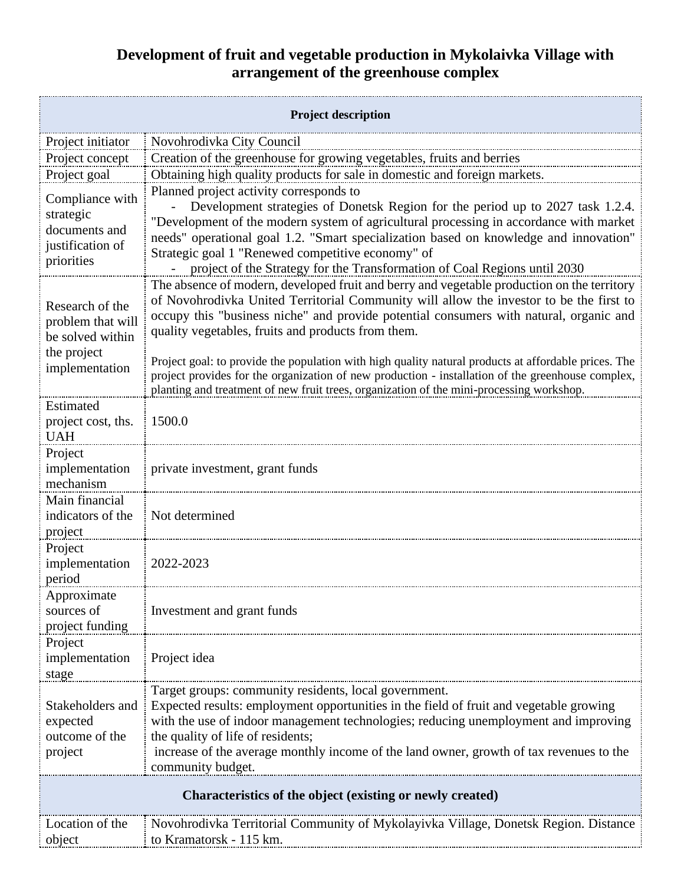## **Development of fruit and vegetable production in Mykolaivka Village with arrangement of the greenhouse complex**

| <b>Project description</b>                                                                |                                                                                                                                                                                                                                                                                                                                                                                                                                                                                                                                                                                                                                                |
|-------------------------------------------------------------------------------------------|------------------------------------------------------------------------------------------------------------------------------------------------------------------------------------------------------------------------------------------------------------------------------------------------------------------------------------------------------------------------------------------------------------------------------------------------------------------------------------------------------------------------------------------------------------------------------------------------------------------------------------------------|
| Project initiator                                                                         | Novohrodivka City Council                                                                                                                                                                                                                                                                                                                                                                                                                                                                                                                                                                                                                      |
| Project concept                                                                           | Creation of the greenhouse for growing vegetables, fruits and berries                                                                                                                                                                                                                                                                                                                                                                                                                                                                                                                                                                          |
| Project goal                                                                              | Obtaining high quality products for sale in domestic and foreign markets.                                                                                                                                                                                                                                                                                                                                                                                                                                                                                                                                                                      |
| Compliance with<br>strategic<br>documents and<br>justification of<br>priorities           | Planned project activity corresponds to<br>Development strategies of Donetsk Region for the period up to 2027 task 1.2.4.<br>"Development of the modern system of agricultural processing in accordance with market<br>needs" operational goal 1.2. "Smart specialization based on knowledge and innovation"<br>Strategic goal 1 "Renewed competitive economy" of<br>project of the Strategy for the Transformation of Coal Regions until 2030                                                                                                                                                                                                 |
| Research of the<br>problem that will<br>be solved within<br>the project<br>implementation | The absence of modern, developed fruit and berry and vegetable production on the territory<br>of Novohrodivka United Territorial Community will allow the investor to be the first to<br>occupy this "business niche" and provide potential consumers with natural, organic and<br>quality vegetables, fruits and products from them.<br>Project goal: to provide the population with high quality natural products at affordable prices. The<br>project provides for the organization of new production - installation of the greenhouse complex,<br>planting and treatment of new fruit trees, organization of the mini-processing workshop. |
| Estimated<br>project cost, ths.<br><b>UAH</b>                                             | 1500.0                                                                                                                                                                                                                                                                                                                                                                                                                                                                                                                                                                                                                                         |
| Project<br>implementation<br>mechanism                                                    | private investment, grant funds                                                                                                                                                                                                                                                                                                                                                                                                                                                                                                                                                                                                                |
| Main financial<br>indicators of the<br>project                                            | Not determined                                                                                                                                                                                                                                                                                                                                                                                                                                                                                                                                                                                                                                 |
| Project<br>implementation<br>period                                                       | 2022-2023                                                                                                                                                                                                                                                                                                                                                                                                                                                                                                                                                                                                                                      |
| Approximate<br>sources of<br>project funding                                              | Investment and grant funds                                                                                                                                                                                                                                                                                                                                                                                                                                                                                                                                                                                                                     |
| Project<br>implementation<br>stage                                                        | Project idea                                                                                                                                                                                                                                                                                                                                                                                                                                                                                                                                                                                                                                   |
| Stakeholders and<br>expected<br>outcome of the<br>project                                 | Target groups: community residents, local government.<br>Expected results: employment opportunities in the field of fruit and vegetable growing<br>with the use of indoor management technologies; reducing unemployment and improving<br>the quality of life of residents;<br>increase of the average monthly income of the land owner, growth of tax revenues to the<br>community budget.                                                                                                                                                                                                                                                    |
| Characteristics of the object (existing or newly created)                                 |                                                                                                                                                                                                                                                                                                                                                                                                                                                                                                                                                                                                                                                |
| Location of the<br>object                                                                 | Novohrodivka Territorial Community of Mykolayivka Village, Donetsk Region. Distance<br>to Kramatorsk - 115 km.                                                                                                                                                                                                                                                                                                                                                                                                                                                                                                                                 |